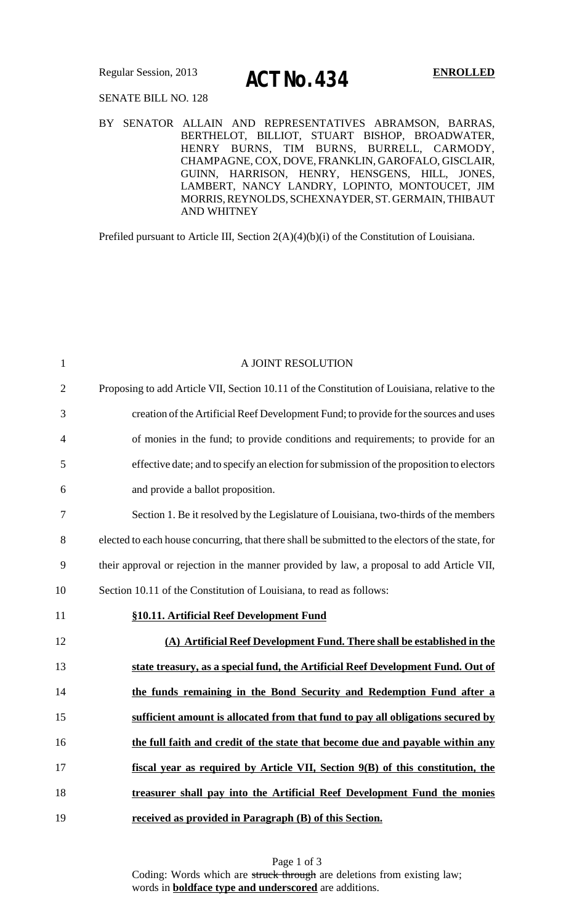# Regular Session, 2013 **ENROLLED ACT No. 434**

### SENATE BILL NO. 128

### BY SENATOR ALLAIN AND REPRESENTATIVES ABRAMSON, BARRAS, BERTHELOT, BILLIOT, STUART BISHOP, BROADWATER, HENRY BURNS, TIM BURNS, BURRELL, CARMODY, CHAMPAGNE, COX, DOVE, FRANKLIN, GAROFALO, GISCLAIR, GUINN, HARRISON, HENRY, HENSGENS, HILL, JONES, LAMBERT, NANCY LANDRY, LOPINTO, MONTOUCET, JIM MORRIS,REYNOLDS, SCHEXNAYDER, ST. GERMAIN, THIBAUT AND WHITNEY

Prefiled pursuant to Article III, Section 2(A)(4)(b)(i) of the Constitution of Louisiana.

| $\mathbf{1}$   | A JOINT RESOLUTION                                                                                |
|----------------|---------------------------------------------------------------------------------------------------|
| $\overline{2}$ | Proposing to add Article VII, Section 10.11 of the Constitution of Louisiana, relative to the     |
| 3              | creation of the Artificial Reef Development Fund; to provide for the sources and uses             |
| 4              | of monies in the fund; to provide conditions and requirements; to provide for an                  |
| 5              | effective date; and to specify an election for submission of the proposition to electors          |
| 6              | and provide a ballot proposition.                                                                 |
| 7              | Section 1. Be it resolved by the Legislature of Louisiana, two-thirds of the members              |
| 8              | elected to each house concurring, that there shall be submitted to the electors of the state, for |
| 9              | their approval or rejection in the manner provided by law, a proposal to add Article VII,         |
| 10             | Section 10.11 of the Constitution of Louisiana, to read as follows:                               |
| 11             | §10.11. Artificial Reef Development Fund                                                          |
| 12             | (A) Artificial Reef Development Fund. There shall be established in the                           |
| 13             | state treasury, as a special fund, the Artificial Reef Development Fund. Out of                   |
| 14             | the funds remaining in the Bond Security and Redemption Fund after a                              |
| 15             | sufficient amount is allocated from that fund to pay all obligations secured by                   |
| 16             | the full faith and credit of the state that become due and payable within any                     |
| 17             | fiscal year as required by Article VII, Section 9(B) of this constitution, the                    |
| 18             | treasurer shall pay into the Artificial Reef Development Fund the monies                          |
| 19             | received as provided in Paragraph (B) of this Section.                                            |

Page 1 of 3 Coding: Words which are struck through are deletions from existing law; words in **boldface type and underscored** are additions.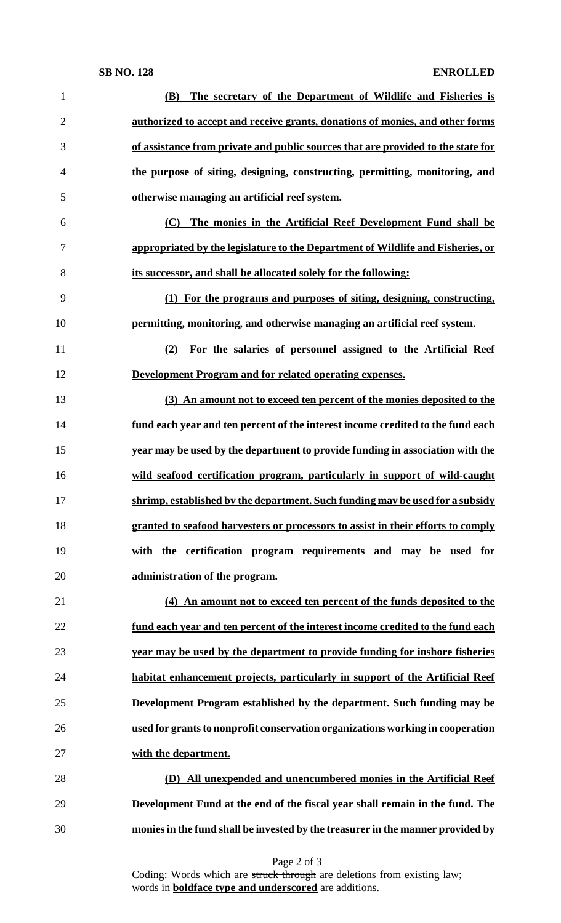| $\mathbf{1}$   | The secretary of the Department of Wildlife and Fisheries is<br><b>(B)</b>       |
|----------------|----------------------------------------------------------------------------------|
| $\overline{2}$ | authorized to accept and receive grants, donations of monies, and other forms    |
| 3              | of assistance from private and public sources that are provided to the state for |
| 4              | the purpose of siting, designing, constructing, permitting, monitoring, and      |
| 5              | otherwise managing an artificial reef system.                                    |
| 6              | The monies in the Artificial Reef Development Fund shall be<br>(C)               |
| 7              | appropriated by the legislature to the Department of Wildlife and Fisheries, or  |
| 8              | its successor, and shall be allocated solely for the following:                  |
| 9              | (1) For the programs and purposes of siting, designing, constructing,            |
| 10             | permitting, monitoring, and otherwise managing an artificial reef system.        |
| 11             | (2) For the salaries of personnel assigned to the Artificial Reef                |
| 12             | Development Program and for related operating expenses.                          |
| 13             | (3) An amount not to exceed ten percent of the monies deposited to the           |
| 14             | fund each year and ten percent of the interest income credited to the fund each  |
| 15             | year may be used by the department to provide funding in association with the    |
| 16             | wild seafood certification program, particularly in support of wild-caught       |
| 17             | shrimp, established by the department. Such funding may be used for a subsidy    |
| 18             | granted to seafood harvesters or processors to assist in their efforts to comply |
| 19             | with the certification program requirements and may be used for                  |
| 20             | administration of the program.                                                   |
| 21             | (4) An amount not to exceed ten percent of the funds deposited to the            |
| 22             | fund each year and ten percent of the interest income credited to the fund each  |
| 23             | year may be used by the department to provide funding for inshore fisheries      |
| 24             | habitat enhancement projects, particularly in support of the Artificial Reef     |
| 25             | Development Program established by the department. Such funding may be           |
| 26             | used for grants to nonprofit conservation organizations working in cooperation   |
| 27             | with the department.                                                             |
| 28             | (D) All unexpended and unencumbered monies in the Artificial Reef                |
| 29             | Development Fund at the end of the fiscal year shall remain in the fund. The     |
| 30             | monies in the fund shall be invested by the treasurer in the manner provided by  |

Page 2 of 3

Coding: Words which are struck through are deletions from existing law; words in **boldface type and underscored** are additions.